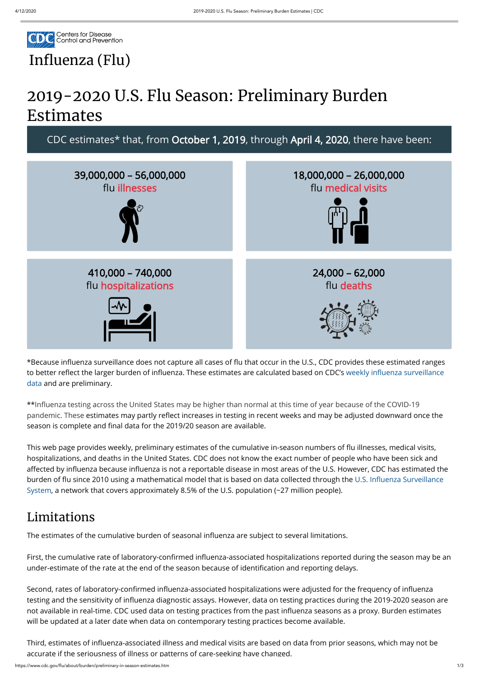

## Influenza (Flu)

# 2019-2020 U.S. Flu Season: Preliminary Burden Estimates



\*Because influenza surveillance does not capture all cases of flu that occur in the U.S., CDC provides these estimated ranges to better reflect the larger burden of influenza. These estimates are calculated based on CDC's weekly influenza surveillance data and are preliminary.

\*\*Influenza testing across the United States may be higher than normal at this time of year because of the COVID-19 pandemic. These estimates may partly reflect increases in testing in recent weeks and may be adjusted downward once the season is complete and final data for the 2019/20 season are available.

This web page provides weekly, preliminary estimates of the cumulative in-season numbers of flu illnesses, medical visits, hospitalizations, and deaths in the United States. CDC does not know the exact number of people who have been sick and affected by influenza because influenza is not a reportable disease in most areas of the U.S. However, CDC has estimated the burden of flu since 2010 using a mathematical model that is based on data collected through the U.S. Influenza Surveillance System, a network that covers approximately 8.5% of the U.S. population (~27 million people).

Second, rates of laboratory-confirmed influenza-associated hospitalizations were adjusted for the frequency of influenza testing and the sensitivity of influenza diagnostic assays. However, data on testing practices during the 2019-2020 season are not available in real-time. CDC used data on testing practices from the past influenza seasons as a proxy. Burden estimates will be updated at a later date when data on contemporary testing practices become available.

Third, estimates of influenza-associated illness and medical visits are based on data from prior seasons, which may not be accurate if the seriousness of illness or patterns of care-seeking have changed.

#### Limitations

The estimates of the cumulative burden of seasonal influenza are subject to several limitations.

First, the cumulative rate of laboratory-confirmed influenza-associated hospitalizations reported during the season may be an under-estimate of the rate at the end of the season because of identification and reporting delays.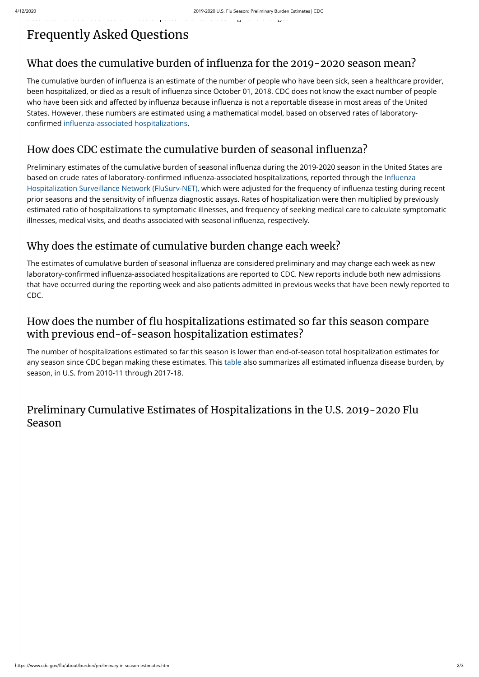https://www.cdc.gov/flu/about/burden/preliminary-in-season-estimates.htm 2/3

## Frequently Asked Questions

.<br>accu ate t e se ous esse ous ess o esse ous esse g a e ca ged.

### What does the cumulative burden of influenza for the 2019-2020 season mean?

The cumulative burden of influenza is an estimate of the number of people who have been sick, seen a healthcare provider, been hospitalized, or died as a result of influenza since October 01, 2018. CDC does not know the exact number of people who have been sick and affected by influenza because influenza is not a reportable disease in most areas of the United States. However, these numbers are estimated using a mathematical model, based on observed rates of laboratoryconfirmed influenza-associated hospitalizations.

## How does CDC estimate the cumulative burden of seasonal influenza?

Preliminary estimates of the cumulative burden of seasonal influenza during the 2019-2020 season in the United States are based on crude rates of laboratory-confirmed influenza-associated hospitalizations, reported through the Influenza Hospitalization Surveillance Network (FluSurv-NET), which were adjusted for the frequency of influenza testing during recent prior seasons and the sensitivity of influenza diagnostic assays. Rates of hospitalization were then multiplied by previously estimated ratio of hospitalizations to symptomatic illnesses, and frequency of seeking medical care to calculate symptomatic illnesses, medical visits, and deaths associated with seasonal influenza, respectively.

The estimates of cumulative burden of seasonal influenza are considered preliminary and may change each week as new laboratory-confirmed influenza-associated hospitalizations are reported to CDC. New reports include both new admissions that have occurred during the reporting week and also patients admitted in previous weeks that have been newly reported to CDC.

#### How does the number of flu hospitalizations estimated so far this season compare with previous end-of-season hospitalization estimates?

### Why does the estimate of cumulative burden change each week?

The number of hospitalizations estimated so far this season is lower than end-of-season total hospitalization estimates for any season since CDC began making these estimates. This [table](https://www.cdc.gov/flu/about/burden/past-seasons.html) also summarizes all estimated influenza disease burden, by season, in U.S. from 2010-11 through 2017-18.

#### Preliminary Cumulative Estimates of Hospitalizations in the U.S. 2019-2020 Flu Season